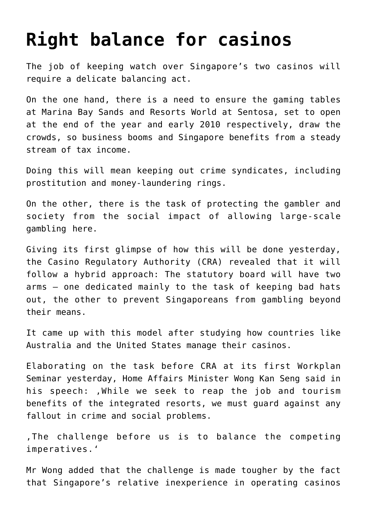## **[Right balance for casinos](https://www.isa-guide.de/english-news/articles/25258.html)**

The job of keeping watch over Singapore's two casinos will require a delicate balancing act.

On the one hand, there is a need to ensure the gaming tables at Marina Bay Sands and Resorts World at Sentosa, set to open at the end of the year and early 2010 respectively, draw the crowds, so business booms and Singapore benefits from a steady stream of tax income.

Doing this will mean keeping out crime syndicates, including prostitution and money-laundering rings.

On the other, there is the task of protecting the gambler and society from the social impact of allowing large-scale gambling here.

Giving its first glimpse of how this will be done yesterday, the Casino Regulatory Authority (CRA) revealed that it will follow a hybrid approach: The statutory board will have two arms – one dedicated mainly to the task of keeping bad hats out, the other to prevent Singaporeans from gambling beyond their means.

It came up with this model after studying how countries like Australia and the United States manage their casinos.

Elaborating on the task before CRA at its first Workplan Seminar yesterday, Home Affairs Minister Wong Kan Seng said in his speech: , While we seek to reap the job and tourism benefits of the integrated resorts, we must guard against any fallout in crime and social problems.

. The challenge before us is to balance the competing imperatives.'

Mr Wong added that the challenge is made tougher by the fact that Singapore's relative inexperience in operating casinos